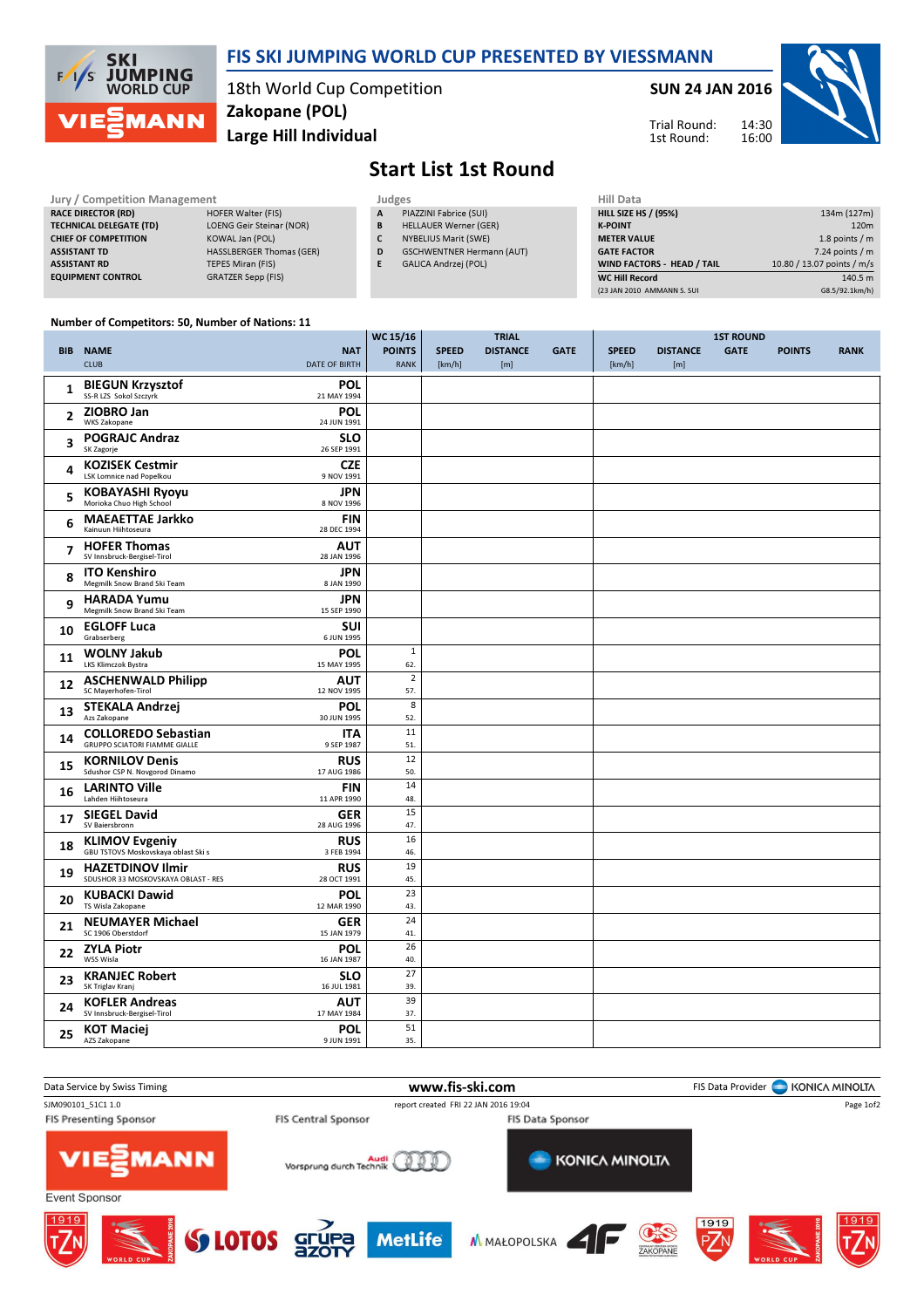

## FIS SKI JUMPING WORLD CUP PRESENTED BY VIESSMANN

18th World Cup Competition Large Hill Individual Zakopane (POL)

SUN 24 JAN 2016

14:30 16:00 Trial Round: 1st Round:



## Start List 1st Round

| <b>Jury / Competition Management</b> |                                 |   | Judges                           |  |                    |  |
|--------------------------------------|---------------------------------|---|----------------------------------|--|--------------------|--|
| <b>RACE DIRECTOR (RD)</b>            | HOFER Walter (FIS)              | A | PIAZZINI Fabrice (SUI)           |  | <b>HILL SIZE H</b> |  |
| <b>TECHNICAL DELEGATE (TD)</b>       | <b>LOENG Geir Steinar (NOR)</b> | B | <b>HELLAUER Werner (GER)</b>     |  | <b>K-POINT</b>     |  |
| <b>CHIEF OF COMPETITION</b>          | KOWAL Jan (POL)                 |   | <b>NYBELIUS Marit (SWE)</b>      |  | <b>METER VAI</b>   |  |
| <b>ASSISTANT TD</b>                  | <b>HASSLBERGER Thomas (GER)</b> | D | <b>GSCHWENTNER Hermann (AUT)</b> |  | <b>GATE FACT</b>   |  |
| <b>ASSISTANT RD</b>                  | <b>TEPES Miran (FIS)</b>        |   | <b>GALICA Andrzei (POL)</b>      |  | <b>WIND FACT</b>   |  |
| <b>EQUIPMENT CONTROL</b>             | GRATZER Sepp (FIS)              |   |                                  |  | WC Hill Re         |  |

| Hill Data                   |                            |
|-----------------------------|----------------------------|
| <b>HILL SIZE HS / (95%)</b> | 134m (127m)                |
| <b>K-POINT</b>              | 120 <sub>m</sub>           |
| <b>METER VALUE</b>          | 1.8 points $/m$            |
| <b>GATE FACTOR</b>          | $7.24$ points / m          |
| WIND FACTORS - HEAD / TAIL  | 10.80 / 13.07 points / m/s |
| <b>WC Hill Record</b>       | 140.5 m                    |
| (23 JAN 2010 AMMANN S. SUI  | G8.5/92.1km/h)             |

## Number of Competitors: 50, Number of Nations: 11

|                |                                                                    |                                    | WC 15/16                     |                        | <b>TRIAL</b>           |             | <b>1ST ROUND</b>       |                        |             |               |             |
|----------------|--------------------------------------------------------------------|------------------------------------|------------------------------|------------------------|------------------------|-------------|------------------------|------------------------|-------------|---------------|-------------|
|                | <b>BIB NAME</b><br><b>CLUB</b>                                     | <b>NAT</b><br><b>DATE OF BIRTH</b> | <b>POINTS</b><br><b>RANK</b> | <b>SPEED</b><br>[km/h] | <b>DISTANCE</b><br>[m] | <b>GATE</b> | <b>SPEED</b><br>[km/h] | <b>DISTANCE</b><br>[m] | <b>GATE</b> | <b>POINTS</b> | <b>RANK</b> |
| 1              | <b>BIEGUN Krzysztof</b><br>SS-R LZS Sokol Szczyrk                  | <b>POL</b><br>21 MAY 1994          |                              |                        |                        |             |                        |                        |             |               |             |
| 2              | ZIOBRO Jan<br><b>WKS Zakopane</b>                                  | <b>POL</b><br>24 JUN 1991          |                              |                        |                        |             |                        |                        |             |               |             |
| 3              | <b>POGRAJC Andraz</b><br>SK Zagorje                                | <b>SLO</b><br>26 SEP 1991          |                              |                        |                        |             |                        |                        |             |               |             |
| 4              | <b>KOZISEK Cestmir</b><br>LSK Lomnice nad Popelkou                 | <b>CZE</b><br>9 NOV 1991           |                              |                        |                        |             |                        |                        |             |               |             |
| 5              | <b>KOBAYASHI Ryoyu</b><br>Morioka Chuo High School                 | <b>JPN</b><br>8 NOV 1996           |                              |                        |                        |             |                        |                        |             |               |             |
| 6              | <b>MAEAETTAE Jarkko</b><br>Kainuun Hiihtoseura                     | <b>FIN</b><br>28 DEC 1994          |                              |                        |                        |             |                        |                        |             |               |             |
| $\overline{ }$ | <b>HOFER Thomas</b><br>SV Innsbruck-Bergisel-Tirol                 | <b>AUT</b><br>28 JAN 1996          |                              |                        |                        |             |                        |                        |             |               |             |
| 8              | <b>ITO Kenshiro</b><br>Megmilk Snow Brand Ski Team                 | JPN<br>8 JAN 1990                  |                              |                        |                        |             |                        |                        |             |               |             |
| 9              | <b>HARADA Yumu</b><br>Megmilk Snow Brand Ski Team                  | <b>JPN</b><br>15 SEP 1990          |                              |                        |                        |             |                        |                        |             |               |             |
| 10             | <b>EGLOFF Luca</b><br>Grabserberg                                  | <b>SUI</b><br>6 JUN 1995           |                              |                        |                        |             |                        |                        |             |               |             |
| 11             | <b>WOLNY Jakub</b><br>LKS Klimczok Bystra                          | <b>POL</b><br>15 MAY 1995          | $1\,$<br>62.                 |                        |                        |             |                        |                        |             |               |             |
| 12             | <b>ASCHENWALD Philipp</b><br>SC Mayerhofen-Tirol                   | <b>AUT</b><br>12 NOV 1995          | $\overline{2}$<br>57.        |                        |                        |             |                        |                        |             |               |             |
| 13             | <b>STEKALA Andrzej</b><br>Azs Zakopane                             | <b>POL</b><br>30 JUN 1995          | 8<br>52.                     |                        |                        |             |                        |                        |             |               |             |
| 14             | <b>COLLOREDO Sebastian</b><br><b>GRUPPO SCIATORI FIAMME GIALLE</b> | <b>ITA</b><br>9 SEP 1987           | 11<br>51.                    |                        |                        |             |                        |                        |             |               |             |
| 15             | <b>KORNILOV Denis</b><br>Sdushor CSP N. Novgorod Dinamo            | <b>RUS</b><br>17 AUG 1986          | 12<br>50.                    |                        |                        |             |                        |                        |             |               |             |
| 16             | <b>LARINTO Ville</b><br>Lahden Hiihtoseura                         | <b>FIN</b><br>11 APR 1990          | 14<br>48.                    |                        |                        |             |                        |                        |             |               |             |
| 17             | <b>SIEGEL David</b><br>SV Baiersbronn                              | <b>GER</b><br>28 AUG 1996          | 15<br>47.                    |                        |                        |             |                        |                        |             |               |             |
| 18             | <b>KLIMOV Evgeniy</b><br>GBU TSTOVS Moskovskaya oblast Ski s       | <b>RUS</b><br>3 FEB 1994           | 16<br>46.                    |                        |                        |             |                        |                        |             |               |             |
| 19             | <b>HAZETDINOV Ilmir</b><br>SDUSHOR 33 MOSKOVSKAYA OBLAST - RES     | <b>RUS</b><br>28 OCT 1991          | 19<br>45.                    |                        |                        |             |                        |                        |             |               |             |
| 20             | <b>KUBACKI Dawid</b><br>TS Wisla Zakopane                          | POL<br>12 MAR 1990                 | 23<br>43.                    |                        |                        |             |                        |                        |             |               |             |
| 21             | <b>NEUMAYER Michael</b><br>SC 1906 Oberstdorf                      | <b>GER</b><br>15 JAN 1979          | 24<br>41.                    |                        |                        |             |                        |                        |             |               |             |
| 22             | <b>ZYLA Piotr</b><br>WSS Wisla                                     | <b>POL</b><br>16 JAN 1987          | 26<br>40.                    |                        |                        |             |                        |                        |             |               |             |
| 23             | <b>KRANJEC Robert</b><br>SK Triglav Kranj                          | <b>SLO</b><br>16 JUL 1981          | 27<br>39.                    |                        |                        |             |                        |                        |             |               |             |
| 24             | <b>KOFLER Andreas</b><br>SV Innsbruck-Bergisel-Tirol               | <b>AUT</b><br>17 MAY 1984          | 39<br>37.                    |                        |                        |             |                        |                        |             |               |             |
| 25             | <b>KOT Maciej</b><br>AZS Zakopane                                  | <b>POL</b><br>9 JUN 1991           | 51<br>35.                    |                        |                        |             |                        |                        |             |               |             |